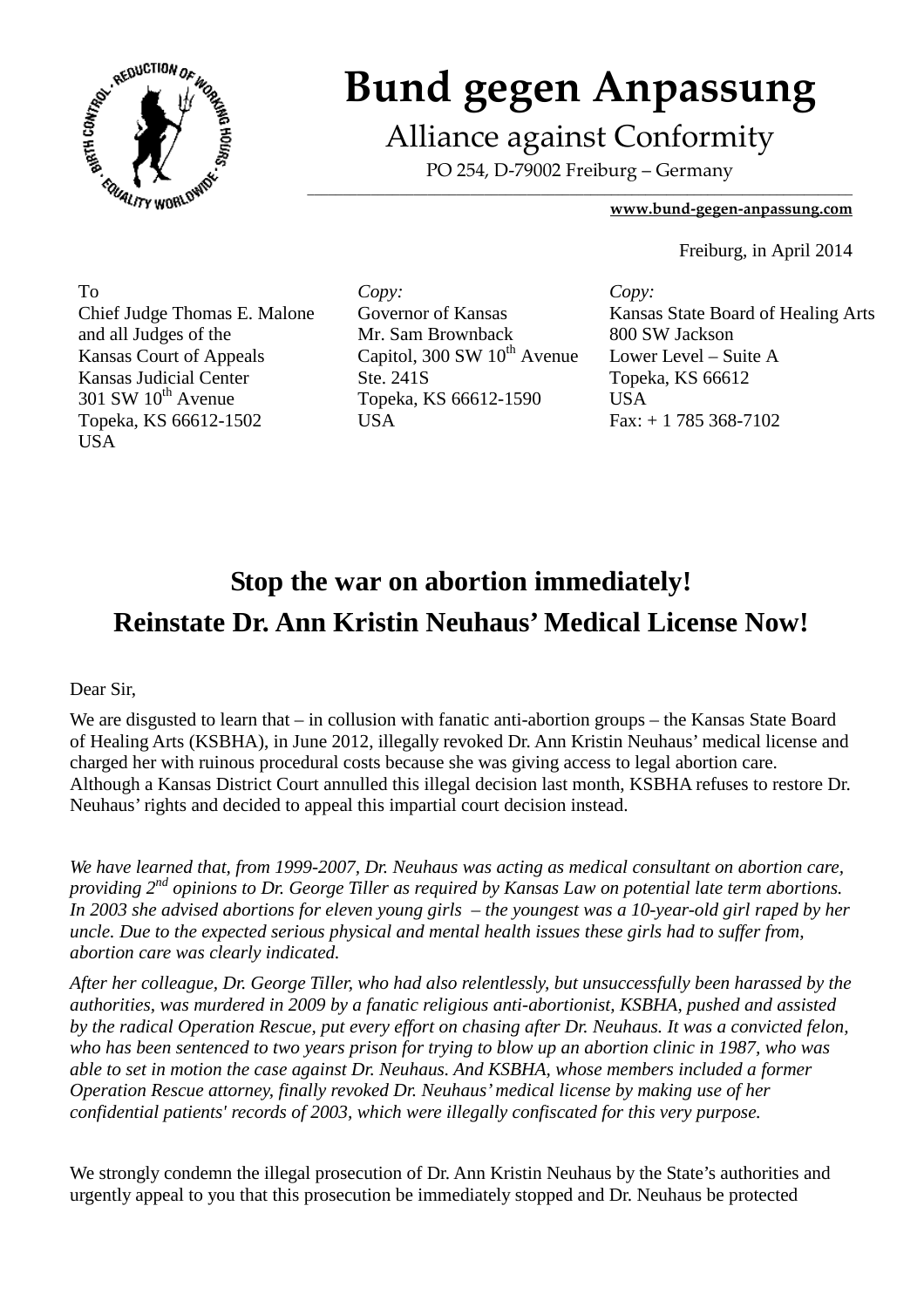

# **Bund gegen Anpassung**

Alliance against Conformity

PO 254, D-79002 Freiburg – Germany  $\overline{\phantom{a}}$  , and the set of the set of the set of the set of the set of the set of the set of the set of the set of the set of the set of the set of the set of the set of the set of the set of the set of the set of the s

#### **www.bund-gegen-anpassung.com**

Freiburg, in April 2014

To Chief Judge Thomas E. Malone and all Judges of the Kansas Court of Appeals Kansas Judicial Center  $301$  SW  $10^{th}$  Avenue Topeka, KS 66612-1502 USA

*Copy:* Governor of Kansas Mr. Sam Brownback Capitol,  $300 \text{ SW } 10^{\text{th}}$  Avenue Ste. 241S Topeka, KS 66612-1590 **USA** 

*Copy:* Kansas State Board of Healing Arts 800 SW Jackson Lower Level – Suite A Topeka, KS 66612 USA Fax: + 1 785 368-7102

## **Stop the war on abortion immediately! Reinstate Dr. Ann Kristin Neuhaus' Medical License Now!**

### Dear Sir,

We are disgusted to learn that – in collusion with fanatic anti-abortion groups – the Kansas State Board of Healing Arts (KSBHA), in June 2012, illegally revoked Dr. Ann Kristin Neuhaus' medical license and charged her with ruinous procedural costs because she was giving access to legal abortion care. Although a Kansas District Court annulled this illegal decision last month, KSBHA refuses to restore Dr. Neuhaus' rights and decided to appeal this impartial court decision instead.

*We have learned that, from 1999-2007, Dr. Neuhaus was acting as medical consultant on abortion care, providing 2nd opinions to Dr. George Tiller as required by Kansas Law on potential late term abortions. In 2003 she advised abortions for eleven young girls – the youngest was a 10-year-old girl raped by her uncle. Due to the expected serious physical and mental health issues these girls had to suffer from, abortion care was clearly indicated.* 

*After her colleague, Dr. George Tiller, who had also relentlessly, but unsuccessfully been harassed by the authorities, was murdered in 2009 by a fanatic religious anti-abortionist, KSBHA, pushed and assisted by the radical Operation Rescue, put every effort on chasing after Dr. Neuhaus. It was a convicted felon, who has been sentenced to two years prison for trying to blow up an abortion clinic in 1987, who was able to set in motion the case against Dr. Neuhaus. And KSBHA, whose members included a former Operation Rescue attorney, finally revoked Dr. Neuhaus' medical license by making use of her confidential patients' records of 2003, which were illegally confiscated for this very purpose.* 

We strongly condemn the illegal prosecution of Dr. Ann Kristin Neuhaus by the State's authorities and urgently appeal to you that this prosecution be immediately stopped and Dr. Neuhaus be protected